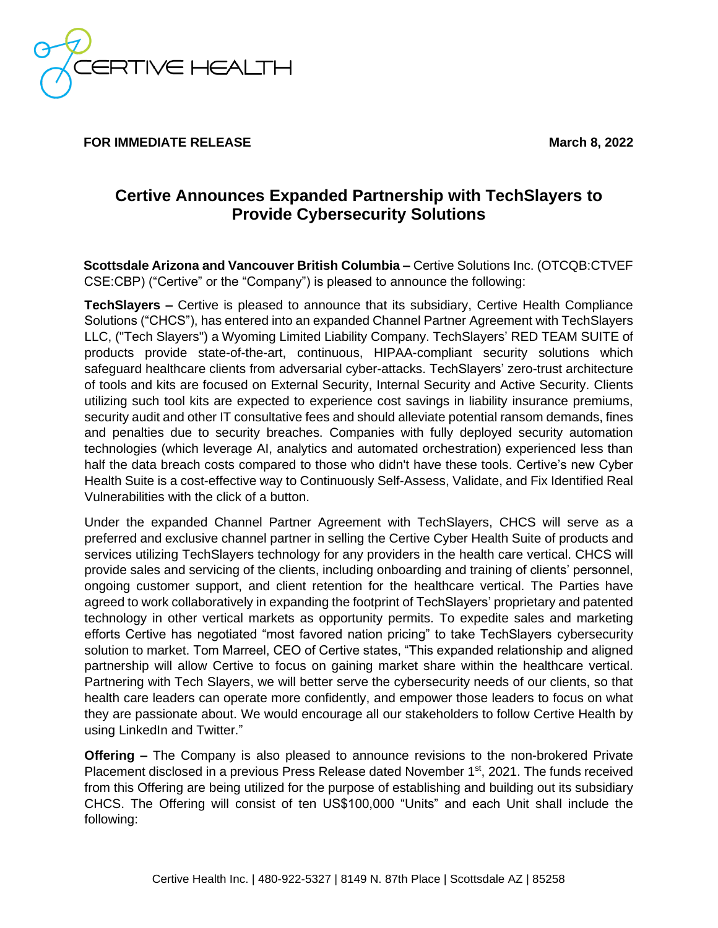RTIVE HEALTH

**FOR IMMEDIATE RELEASE** March **8, 2022** 

## **Certive Announces Expanded Partnership with TechSlayers to Provide Cybersecurity Solutions**

**Scottsdale Arizona and Vancouver British Columbia –** Certive Solutions Inc. (OTCQB:CTVEF CSE:CBP) ("Certive" or the "Company") is pleased to announce the following:

**TechSlayers –** Certive is pleased to announce that its subsidiary, Certive Health Compliance Solutions ("CHCS"), has entered into an expanded Channel Partner Agreement with TechSlayers LLC, ("Tech Slayers") a Wyoming Limited Liability Company. TechSlayers' RED TEAM SUITE of products provide state-of-the-art, continuous, HIPAA-compliant security solutions which safeguard healthcare clients from adversarial cyber-attacks. TechSlayers' zero-trust architecture of tools and kits are focused on External Security, Internal Security and Active Security. Clients utilizing such tool kits are expected to experience cost savings in liability insurance premiums, security audit and other IT consultative fees and should alleviate potential ransom demands, fines and penalties due to security breaches. Companies with fully deployed security automation technologies (which leverage AI, analytics and automated orchestration) experienced less than half the data breach costs compared to those who didn't have these tools. Certive's new Cyber Health Suite is a cost-effective way to Continuously Self-Assess, Validate, and Fix Identified Real Vulnerabilities with the click of a button.

Under the expanded Channel Partner Agreement with TechSlayers, CHCS will serve as a preferred and exclusive channel partner in selling the Certive Cyber Health Suite of products and services utilizing TechSlayers technology for any providers in the health care vertical. CHCS will provide sales and servicing of the clients, including onboarding and training of clients' personnel, ongoing customer support, and client retention for the healthcare vertical. The Parties have agreed to work collaboratively in expanding the footprint of TechSlayers' proprietary and patented technology in other vertical markets as opportunity permits. To expedite sales and marketing efforts Certive has negotiated "most favored nation pricing" to take TechSlayers cybersecurity solution to market. Tom Marreel, CEO of Certive states, "This expanded relationship and aligned partnership will allow Certive to focus on gaining market share within the healthcare vertical. Partnering with Tech Slayers, we will better serve the cybersecurity needs of our clients, so that health care leaders can operate more confidently, and empower those leaders to focus on what they are passionate about. We would encourage all our stakeholders to follow Certive Health by using LinkedIn and Twitter."

**Offering –** The Company is also pleased to announce revisions to the non-brokered Private Placement disclosed in a previous Press Release dated November 1<sup>st</sup>, 2021. The funds received from this Offering are being utilized for the purpose of establishing and building out its subsidiary CHCS. The Offering will consist of ten US\$100,000 "Units" and each Unit shall include the following: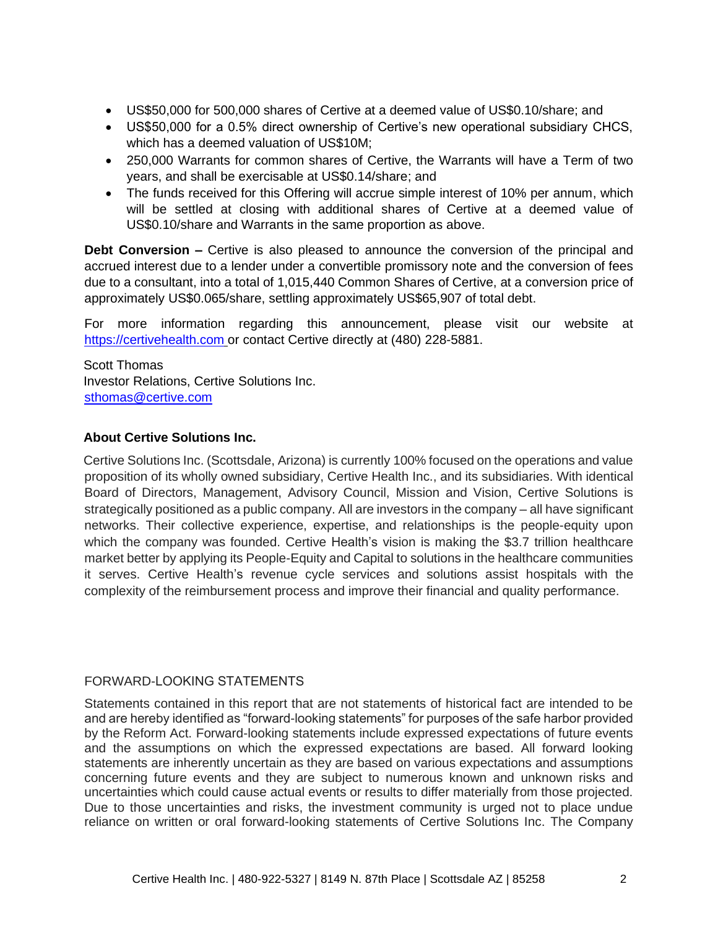- US\$50,000 for 500,000 shares of Certive at a deemed value of US\$0.10/share; and
- US\$50,000 for a 0.5% direct ownership of Certive's new operational subsidiary CHCS, which has a deemed valuation of US\$10M;
- 250,000 Warrants for common shares of Certive, the Warrants will have a Term of two years, and shall be exercisable at US\$0.14/share; and
- The funds received for this Offering will accrue simple interest of 10% per annum, which will be settled at closing with additional shares of Certive at a deemed value of US\$0.10/share and Warrants in the same proportion as above.

**Debt Conversion –** Certive is also pleased to announce the conversion of the principal and accrued interest due to a lender under a convertible promissory note and the conversion of fees due to a consultant, into a total of 1,015,440 Common Shares of Certive, at a conversion price of approximately US\$0.065/share, settling approximately US\$65,907 of total debt.

For more information regarding this announcement, please visit our website at [https://certivehealth.com](https://certivehealth.com/) [o](https://certivehealth.com/)r contact Certive directly at (480) 228-5881.

Scott Thomas Investor Relations, Certive Solutions Inc. sthomas@certive.com

## **About Certive Solutions Inc.**

Certive Solutions Inc. (Scottsdale, Arizona) is currently 100% focused on the operations and value proposition of its wholly owned subsidiary, Certive Health Inc., and its subsidiaries. With identical Board of Directors, Management, Advisory Council, Mission and Vision, Certive Solutions is strategically positioned as a public company. All are investors in the company – all have significant networks. Their collective experience, expertise, and relationships is the people-equity upon which the company was founded. Certive Health's vision is making the \$3.7 trillion healthcare market better by applying its People-Equity and Capital to solutions in the healthcare communities it serves. Certive Health's revenue cycle services and solutions assist hospitals with the complexity of the reimbursement process and improve their financial and quality performance.

## FORWARD-LOOKING STATEMENTS

Statements contained in this report that are not statements of historical fact are intended to be and are hereby identified as "forward-looking statements" for purposes of the safe harbor provided by the Reform Act. Forward-looking statements include expressed expectations of future events and the assumptions on which the expressed expectations are based. All forward looking statements are inherently uncertain as they are based on various expectations and assumptions concerning future events and they are subject to numerous known and unknown risks and uncertainties which could cause actual events or results to differ materially from those projected. Due to those uncertainties and risks, the investment community is urged not to place undue reliance on written or oral forward-looking statements of Certive Solutions Inc. The Company